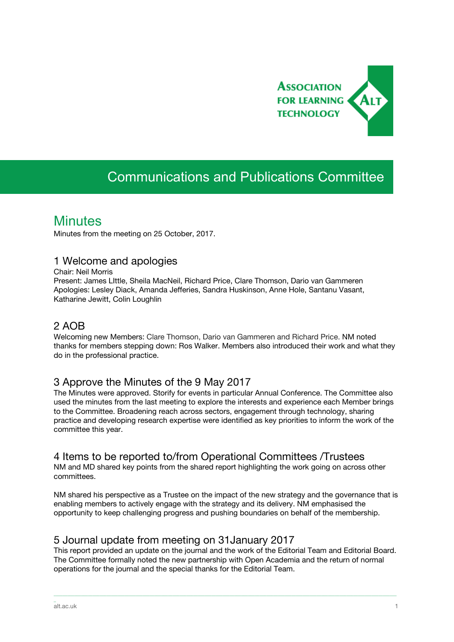

# Communications and Publications Committee

## **Minutes**

Minutes from the meeting on 25 October, 2017.

#### 1 Welcome and apologies

Chair: Neil Morris

Present: James LIttle, Sheila MacNeil, Richard Price, Clare Thomson, Dario van Gammeren Apologies: Lesley Diack, Amanda Jefferies, Sandra Huskinson, Anne Hole, Santanu Vasant, Katharine Jewitt, Colin Loughlin

## 2 AOB

Welcoming new Members: Clare Thomson, Dario van Gammeren and Richard Price. NM noted thanks for members stepping down: Ros Walker. Members also introduced their work and what they do in the professional practice.

## 3 Approve the Minutes of the 9 May 2017

The Minutes were approved. Storify for events in particular Annual Conference. The Committee also used the minutes from the last meeting to explore the interests and experience each Member brings to the Committee. Broadening reach across sectors, engagement through technology, sharing practice and developing research expertise were identified as key priorities to inform the work of the committee this year.

## 4 Items to be reported to/from Operational Committees /Trustees

NM and MD shared key points from the shared report highlighting the work going on across other committees.

NM shared his perspective as a Trustee on the impact of the new strategy and the governance that is enabling members to actively engage with the strategy and its delivery. NM emphasised the opportunity to keep challenging progress and pushing boundaries on behalf of the membership.

## 5 Journal update from meeting on 31January 2017

This report provided an update on the journal and the work of the Editorial Team and Editorial Board. The Committee formally noted the new partnership with Open Academia and the return of normal operations for the journal and the special thanks for the Editorial Team.

\_\_\_\_\_\_\_\_\_\_\_\_\_\_\_\_\_\_\_\_\_\_\_\_\_\_\_\_\_\_\_\_\_\_\_\_\_\_\_\_\_\_\_\_\_\_\_\_\_\_\_\_\_\_\_\_\_\_\_\_\_\_\_\_\_\_\_\_\_\_\_\_\_\_\_\_\_\_\_\_\_\_\_\_\_\_\_\_\_\_\_\_\_\_\_\_\_\_\_\_\_\_\_\_\_\_\_\_\_\_\_\_\_\_\_\_\_\_\_\_\_\_\_\_\_\_\_\_\_\_\_\_\_\_\_\_\_\_\_\_\_\_\_\_\_\_\_\_\_\_

\_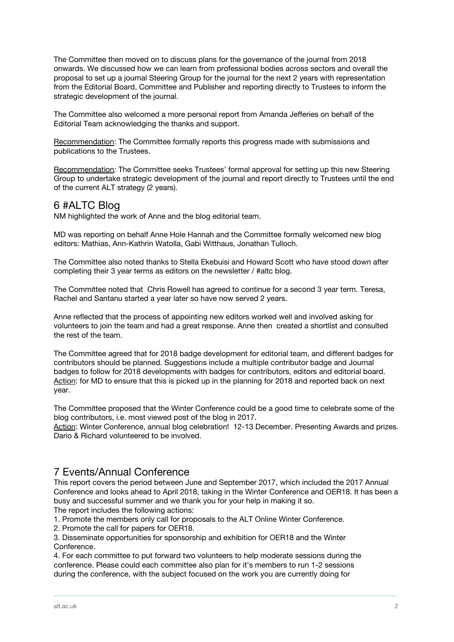The Committee then moved on to discuss plans for the governance of the journal from 2018 onwards. We discussed how we can learn from professional bodies across sectors and overall the proposal to set up a journal Steering Group for the journal for the next 2 years with representation from the Editorial Board, Committee and Publisher and reporting directly to Trustees to inform the strategic development of the journal.

The Committee also welcomed a more personal report from Amanda Jefferies on behalf of the Editorial Team acknowledging the thanks and support.

Recommendation: The Committee formally reports this progress made with submissions and publications to the Trustees.

Recommendation: The Committee seeks Trustees' formal approval for setting up this new Steering Group to undertake strategic development of the journal and report directly to Trustees until the end of the current ALT strategy (2 years).

## 6 #ALTC Blog

NM highlighted the work of Anne and the blog editorial team.

MD was reporting on behalf Anne Hole Hannah and the Committee formally welcomed new blog editors: Mathias, Ann-Kathrin Watolla, Gabi Witthaus, Jonathan Tulloch.

The Committee also noted thanks to Stella Ekebuisi and Howard Scott who have stood down after completing their 3 year terms as editors on the newsletter / #altc blog.

The Committee noted that Chris Rowell has agreed to continue for a second 3 year term. Teresa, Rachel and Santanu started a year later so have now served 2 years.

Anne reflected that the process of appointing new editors worked well and involved asking for volunteers to join the team and had a great response. Anne then created a shortlist and consulted the rest of the team.

The Committee agreed that for 2018 badge development for editorial team, and different badges for contributors should be planned. Suggestions include a multiple contributor badge and Journal badges to follow for 2018 developments with badges for contributors, editors and editorial board. Action: for MD to ensure that this is picked up in the planning for 2018 and reported back on next year.

The Committee proposed that the Winter Conference could be a good time to celebrate some of the blog contributors, i.e. most viewed post of the blog in 2017.

Action: Winter Conference, annual blog celebration! 12-13 December. Presenting Awards and prizes. Dario & Richard volunteered to be involved.

## 7 Events/Annual Conference

This report covers the period between June and September 2017, which included the 2017 Annual Conference and looks ahead to April 2018, taking in the Winter Conference and OER18. It has been a busy and successful summer and we thank you for your help in making it so.

\_\_\_\_\_\_\_\_\_\_\_\_\_\_\_\_\_\_\_\_\_\_\_\_\_\_\_\_\_\_\_\_\_\_\_\_\_\_\_\_\_\_\_\_\_\_\_\_\_\_\_\_\_\_\_\_\_\_\_\_\_\_\_\_\_\_\_\_\_\_\_\_\_\_\_\_\_\_\_\_\_\_\_\_\_\_\_\_\_\_\_\_\_\_\_\_\_\_\_\_\_\_\_\_\_\_\_\_\_\_\_\_\_\_\_\_\_\_\_\_\_\_\_\_\_\_\_\_\_\_\_\_\_\_\_\_\_\_\_\_\_\_\_\_\_\_\_\_\_\_

The report includes the following actions:

1. Promote the members only call for proposals to the ALT Online Winter Conference.

2. Promote the call for papers for OER18.

3. Disseminate opportunities for sponsorship and exhibition for OER18 and the Winter Conference.

4. For each committee to put forward two volunteers to help moderate sessions during the conference. Please could each committee also plan for it's members to run 1-2 sessions during the conference, with the subject focused on the work you are currently doing for

\_